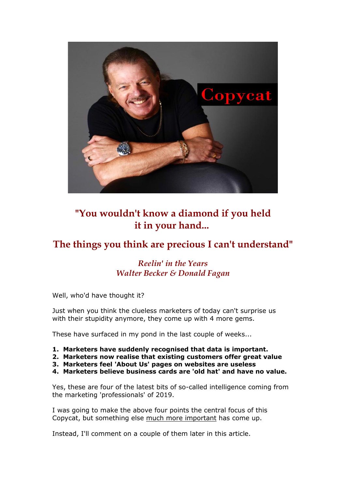

# **"You wouldn't know a diamond if you held it in your hand...**

## **The things you think are precious I can't understand"**

## *Reelin' in the Years Walter Becker & Donald Fagan*

Well, who'd have thought it?

Just when you think the clueless marketers of today can't surprise us with their stupidity anymore, they come up with 4 more gems.

These have surfaced in my pond in the last couple of weeks...

- **1. Marketers have suddenly recognised that data is important.**
- **2. Marketers now realise that existing customers offer great value**
- **3. Marketers feel 'About Us' pages on websites are useless**
- **4. Marketers believe business cards are 'old hat' and have no value.**

Yes, these are four of the latest bits of so-called intelligence coming from the marketing 'professionals' of 2019.

I was going to make the above four points the central focus of this Copycat, but something else much more important has come up.

Instead, I'll comment on a couple of them later in this article.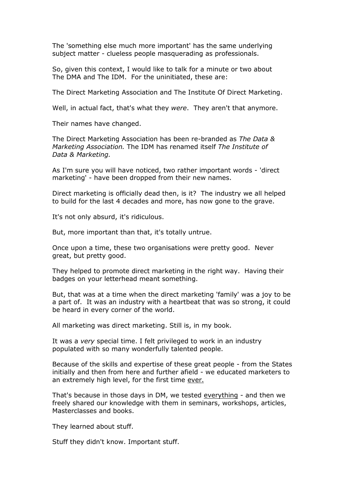The 'something else much more important' has the same underlying subject matter - clueless people masquerading as professionals.

So, given this context, I would like to talk for a minute or two about The DMA and The IDM. For the uninitiated, these are:

The Direct Marketing Association and The Institute Of Direct Marketing.

Well, in actual fact, that's what they *were*. They aren't that anymore.

Their names have changed.

The Direct Marketing Association has been re-branded as *The Data & Marketing Association.* The IDM has renamed itself *The Institute of Data & Marketing.*

As I'm sure you will have noticed, two rather important words - 'direct marketing' - have been dropped from their new names.

Direct marketing is officially dead then, is it? The industry we all helped to build for the last 4 decades and more, has now gone to the grave.

It's not only absurd, it's ridiculous.

But, more important than that, it's totally untrue.

Once upon a time, these two organisations were pretty good. Never great, but pretty good.

They helped to promote direct marketing in the right way. Having their badges on your letterhead meant something.

But, that was at a time when the direct marketing 'family' was a joy to be a part of. It was an industry with a heartbeat that was so strong, it could be heard in every corner of the world.

All marketing was direct marketing. Still is, in my book.

It was a *very* special time. I felt privileged to work in an industry populated with so many wonderfully talented people.

Because of the skills and expertise of these great people - from the States initially and then from here and further afield - we educated marketers to an extremely high level, for the first time ever.

That's because in those days in DM, we tested everything - and then we freely shared our knowledge with them in seminars, workshops, articles, Masterclasses and books.

They learned about stuff.

Stuff they didn't know. Important stuff.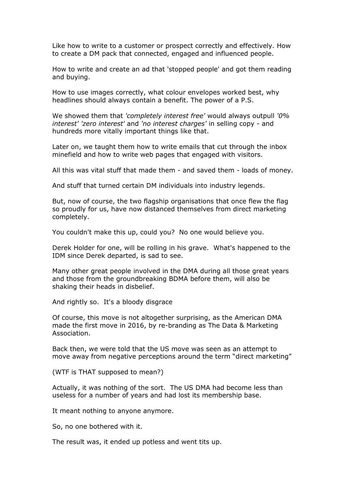Like how to write to a customer or prospect correctly and effectively. How to create a DM pack that connected, engaged and influenced people.

How to write and create an ad that 'stopped people' and got them reading and buying.

How to use images correctly, what colour envelopes worked best, why headlines should always contain a benefit. The power of a P.S.

We showed them that *'completely interest free'* would always outpull *'0% interest' 'zero interest'* and *'no interest charges'* in selling copy - and hundreds more vitally important things like that.

Later on, we taught them how to write emails that cut through the inbox minefield and how to write web pages that engaged with visitors.

All this was vital stuff that made them - and saved them - loads of money.

And stuff that turned certain DM individuals into industry legends.

But, now of course, the two flagship organisations that once flew the flag so proudly for us, have now distanced themselves from direct marketing completely.

You couldn't make this up, could you? No one would believe you.

Derek Holder for one, will be rolling in his grave. What's happened to the IDM since Derek departed, is sad to see.

Many other great people involved in the DMA during all those great years and those from the groundbreaking BDMA before them, will also be shaking their heads in disbelief.

And rightly so. It's a bloody disgrace

Of course, this move is not altogether surprising, as the American DMA made the first move in 2016, by re-branding as The Data & Marketing Association.

Back then, we were told that the US move was seen as an attempt to move away from negative perceptions around the term "direct marketing"

(WTF is THAT supposed to mean?)

Actually, it was nothing of the sort. The US DMA had become less than useless for a number of years and had lost its membership base.

It meant nothing to anyone anymore.

So, no one bothered with it.

The result was, it ended up potless and went tits up.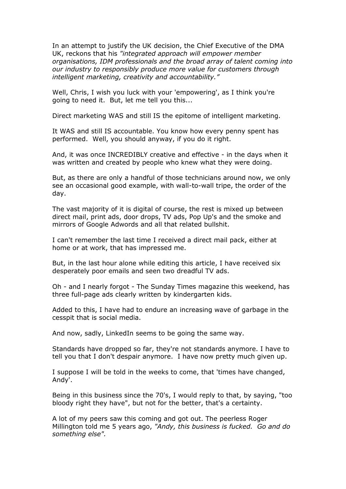In an attempt to justify the UK decision, the Chief Executive of the DMA UK, reckons that his *"integrated approach will empower member organisations, IDM professionals and the broad array of talent coming into our industry to responsibly produce more value for customers through intelligent marketing, creativity and accountability."*

Well, Chris, I wish you luck with your 'empowering', as I think you're going to need it. But, let me tell you this...

Direct marketing WAS and still IS the epitome of intelligent marketing.

It WAS and still IS accountable. You know how every penny spent has performed. Well, you should anyway, if you do it right.

And, it was once INCREDIBLY creative and effective - in the days when it was written and created by people who knew what they were doing.

But, as there are only a handful of those technicians around now, we only see an occasional good example, with wall-to-wall tripe, the order of the day.

The vast majority of it is digital of course, the rest is mixed up between direct mail, print ads, door drops, TV ads, Pop Up's and the smoke and mirrors of Google Adwords and all that related bullshit.

I can't remember the last time I received a direct mail pack, either at home or at work, that has impressed me.

But, in the last hour alone while editing this article, I have received six desperately poor emails and seen two dreadful TV ads.

Oh - and I nearly forgot - The Sunday Times magazine this weekend, has three full-page ads clearly written by kindergarten kids.

Added to this, I have had to endure an increasing wave of garbage in the cesspit that is social media.

And now, sadly, LinkedIn seems to be going the same way.

Standards have dropped so far, they're not standards anymore. I have to tell you that I don't despair anymore. I have now pretty much given up.

I suppose I will be told in the weeks to come, that 'times have changed, Andy'.

Being in this business since the 70's, I would reply to that, by saying, "too bloody right they have", but not for the better, that's a certainty.

A lot of my peers saw this coming and got out. The peerless Roger Millington told me 5 years ago, *"Andy, this business is fucked. Go and do something else".*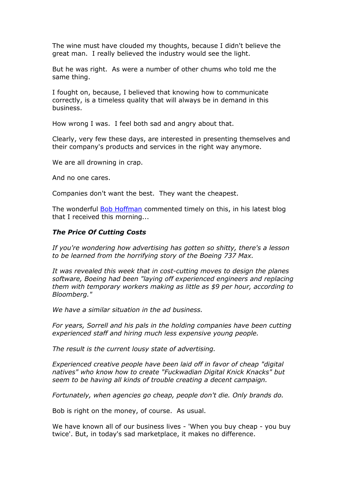The wine must have clouded my thoughts, because I didn't believe the great man. I really believed the industry would see the light.

But he was right. As were a number of other chums who told me the same thing.

I fought on, because, I believed that knowing how to communicate correctly, is a timeless quality that will always be in demand in this business.

How wrong I was. I feel both sad and angry about that.

Clearly, very few these days, are interested in presenting themselves and their company's products and services in the right way anymore.

We are all drowning in crap.

And no one cares.

Companies don't want the best. They want the cheapest.

The wonderful [Bob Hoffman](http://www.bobhoffmanswebsite.com/newsletters) commented timely on this, in his latest blog that I received this morning...

#### *The Price Of Cutting Costs*

*If you're wondering how advertising has gotten so shitty, there's a lesson to be learned from the horrifying story of the Boeing 737 Max.*

*It was revealed this week that in cost-cutting moves to design the planes software, Boeing had been "laying off experienced engineers and replacing them with temporary workers making as little as \$9 per hour, according to Bloomberg."*

*We have a similar situation in the ad business.* 

*For years, Sorrell and his pals in the holding companies have been cutting experienced staff and hiring much less expensive young people.* 

*The result is the current lousy state of advertising.* 

*Experienced creative people have been laid off in favor of cheap "digital natives" who know how to create "Fuckwadian Digital Knick Knacks" but seem to be having all kinds of trouble creating a decent campaign.*

*Fortunately, when agencies go cheap, people don't die. Only brands do.*

Bob is right on the money, of course. As usual.

We have known all of our business lives - 'When you buy cheap - you buy twice'. But, in today's sad marketplace, it makes no difference.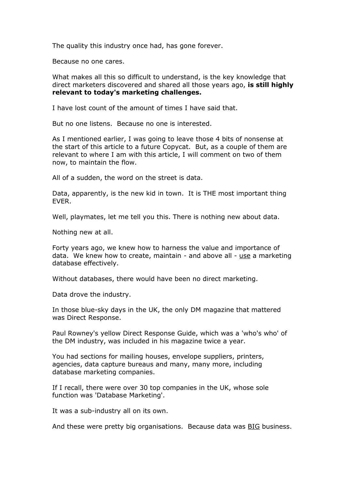The quality this industry once had, has gone forever.

Because no one cares.

What makes all this so difficult to understand, is the key knowledge that direct marketers discovered and shared all those years ago, **is still highly relevant to today's marketing challenges.**

I have lost count of the amount of times I have said that.

But no one listens. Because no one is interested.

As I mentioned earlier, I was going to leave those 4 bits of nonsense at the start of this article to a future Copycat. But, as a couple of them are relevant to where I am with this article, I will comment on two of them now, to maintain the flow.

All of a sudden, the word on the street is data.

Data, apparently, is the new kid in town. It is THE most important thing EVER.

Well, playmates, let me tell you this. There is nothing new about data.

Nothing new at all.

Forty years ago, we knew how to harness the value and importance of data. We knew how to create, maintain - and above all - use a marketing database effectively.

Without databases, there would have been no direct marketing.

Data drove the industry.

In those blue-sky days in the UK, the only DM magazine that mattered was Direct Response.

Paul Rowney's yellow Direct Response Guide, which was a 'who's who' of the DM industry, was included in his magazine twice a year.

You had sections for mailing houses, envelope suppliers, printers, agencies, data capture bureaus and many, many more, including database marketing companies.

If I recall, there were over 30 top companies in the UK, whose sole function was 'Database Marketing'.

It was a sub-industry all on its own.

And these were pretty big organisations. Because data was **BIG** business.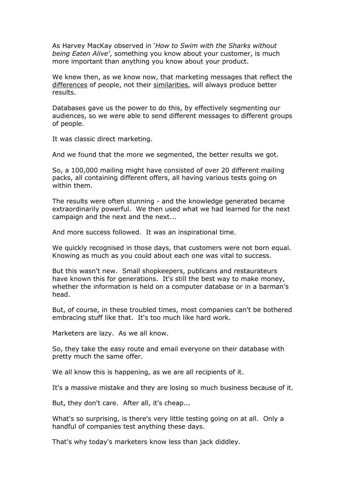As Harvey MacKay observed in '*How to Swim with the Sharks without being Eaten Alive'*, something you know about your customer, is much more important than anything you know about your product.

We knew then, as we know now, that marketing messages that reflect the differences of people, not their similarities, will always produce better results.

Databases gave us the power to do this, by effectively segmenting our audiences, so we were able to send different messages to different groups of people.

It was classic direct marketing.

And we found that the more we segmented, the better results we got.

So, a 100,000 mailing might have consisted of over 20 different mailing packs, all containing different offers, all having various tests going on within them.

The results were often stunning - and the knowledge generated became extraordinarily powerful. We then used what we had learned for the next campaign and the next and the next...

And more success followed. It was an inspirational time.

We quickly recognised in those days, that customers were not born equal. Knowing as much as you could about each one was vital to success.

But this wasn't new. Small shopkeepers, publicans and restaurateurs have known this for generations. It's still the best way to make money, whether the information is held on a computer database or in a barman's head.

But, of course, in these troubled times, most companies can't be bothered embracing stuff like that. It's too much like hard work.

Marketers are lazy. As we all know.

So, they take the easy route and email everyone on their database with pretty much the same offer.

We all know this is happening, as we are all recipients of it.

It's a massive mistake and they are losing so much business because of it.

But, they don't care. After all, it's cheap...

What's so surprising, is there's very little testing going on at all. Only a handful of companies test anything these days.

That's why today's marketers know less than jack diddley.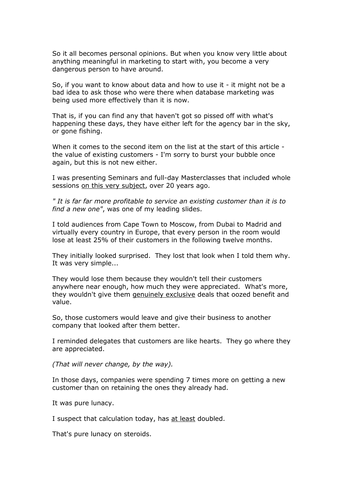So it all becomes personal opinions. But when you know very little about anything meaningful in marketing to start with, you become a very dangerous person to have around.

So, if you want to know about data and how to use it - it might not be a bad idea to ask those who were there when database marketing was being used more effectively than it is now.

That is, if you can find any that haven't got so pissed off with what's happening these days, they have either left for the agency bar in the sky, or gone fishing.

When it comes to the second item on the list at the start of this article the value of existing customers - I'm sorry to burst your bubble once again, but this is not new either.

I was presenting Seminars and full-day Masterclasses that included whole sessions on this very subject, over 20 years ago.

*" It is far far more profitable to service an existing customer than it is to find a new one"*, was one of my leading slides.

I told audiences from Cape Town to Moscow, from Dubai to Madrid and virtually every country in Europe, that every person in the room would lose at least 25% of their customers in the following twelve months.

They initially looked surprised. They lost that look when I told them why. It was very simple...

They would lose them because they wouldn't tell their customers anywhere near enough, how much they were appreciated. What's more, they wouldn't give them genuinely exclusive deals that oozed benefit and value.

So, those customers would leave and give their business to another company that looked after them better.

I reminded delegates that customers are like hearts. They go where they are appreciated.

*(That will never change, by the way).*

In those days, companies were spending 7 times more on getting a new customer than on retaining the ones they already had.

It was pure lunacy.

I suspect that calculation today, has at least doubled.

That's pure lunacy on steroids.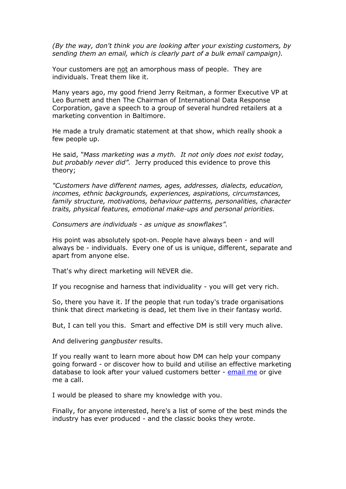*(By the way, don't think you are looking after your existing customers, by sending them an email, which is clearly part of a bulk email campaign).* 

Your customers are not an amorphous mass of people. They are individuals. Treat them like it.

Many years ago, my good friend Jerry Reitman, a former Executive VP at Leo Burnett and then The Chairman of International Data Response Corporation, gave a speech to a group of several hundred retailers at a marketing convention in Baltimore.

He made a truly dramatic statement at that show, which really shook a few people up.

He said, *"Mass marketing was a myth. It not only does not exist today, but probably never did".* Jerry produced this evidence to prove this theory;

*"Customers have different names, ages, addresses, dialects, education, incomes, ethnic backgrounds, experiences, aspirations, circumstances, family structure, motivations, behaviour patterns, personalities, character traits, physical features, emotional make-ups and personal priorities.* 

*Consumers are individuals - as unique as snowflakes".*

His point was absolutely spot-on. People have always been - and will always be - individuals. Every one of us is unique, different, separate and apart from anyone else.

That's why direct marketing will NEVER die.

If you recognise and harness that individuality - you will get very rich.

So, there you have it. If the people that run today's trade organisations think that direct marketing is dead, let them live in their fantasy world.

But, I can tell you this. Smart and effective DM is still very much alive.

And delivering *gangbuster* results.

If you really want to learn more about how DM can help your company going forward - or discover how to build and utilise an effective marketing database to look after your valued customers better - [email me](mailto:andyowen@aol.com) or give me a call.

I would be pleased to share my knowledge with you.

Finally, for anyone interested, here's a list of some of the best minds the industry has ever produced - and the classic books they wrote.